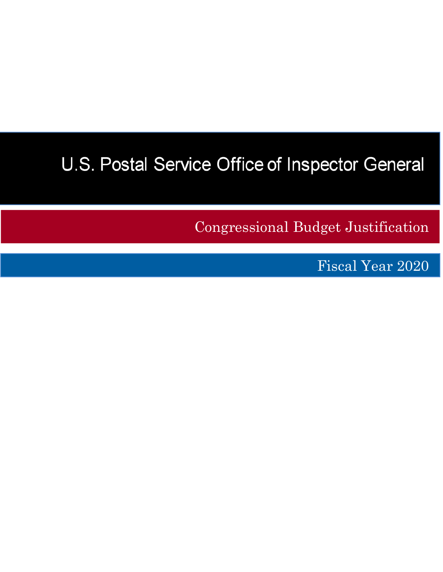# U.S. Postal Service Office of Inspector General

Congressional Budget Justification

Fiscal Year 2020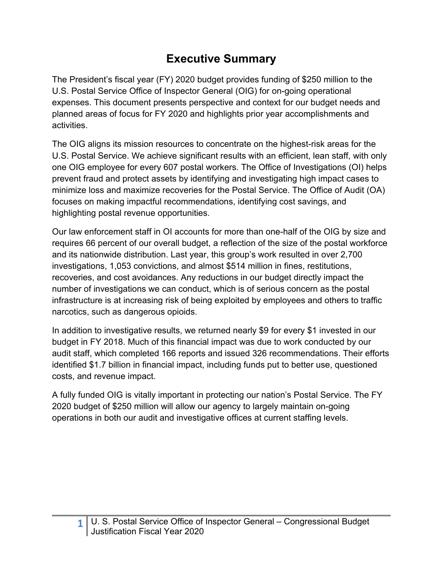# **Executive Summary**

The President's fiscal year (FY) 2020 budget provides funding of \$250 million to the U.S. Postal Service Office of Inspector General (OIG) for on-going operational expenses. This document presents perspective and context for our budget needs and planned areas of focus for FY 2020 and highlights prior year accomplishments and activities.

The OIG aligns its mission resources to concentrate on the highest-risk areas for the U.S. Postal Service. We achieve significant results with an efficient, lean staff, with only one OIG employee for every 607 postal workers. The Office of Investigations (OI) helps prevent fraud and protect assets by identifying and investigating high impact cases to minimize loss and maximize recoveries for the Postal Service. The Office of Audit (OA) focuses on making impactful recommendations, identifying cost savings, and highlighting postal revenue opportunities.

Our law enforcement staff in OI accounts for more than one-half of the OIG by size and requires 66 percent of our overall budget, a reflection of the size of the postal workforce and its nationwide distribution. Last year, this group's work resulted in over 2,700 investigations, 1,053 convictions, and almost \$514 million in fines, restitutions, recoveries, and cost avoidances. Any reductions in our budget directly impact the number of investigations we can conduct, which is of serious concern as the postal infrastructure is at increasing risk of being exploited by employees and others to traffic narcotics, such as dangerous opioids.

In addition to investigative results, we returned nearly \$9 for every \$1 invested in our budget in FY 2018. Much of this financial impact was due to work conducted by our audit staff, which completed 166 reports and issued 326 recommendations. Their efforts identified \$1.7 billion in financial impact, including funds put to better use, questioned costs, and revenue impact.

A fully funded OIG is vitally important in protecting our nation's Postal Service. The FY 2020 budget of \$250 million will allow our agency to largely maintain on-going operations in both our audit and investigative offices at current staffing levels.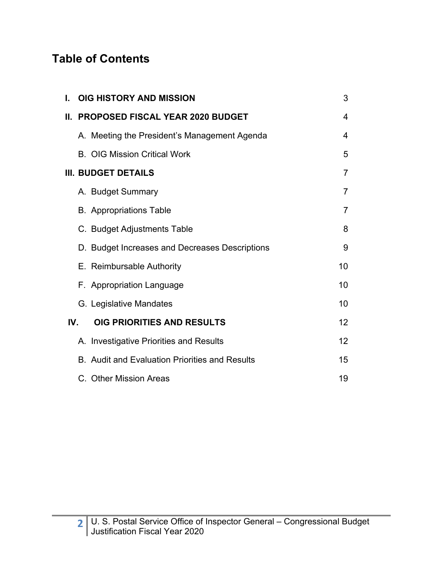# **Table of Contents**

| L.  | <b>OIG HISTORY AND MISSION</b>                        | 3  |
|-----|-------------------------------------------------------|----|
| Ш.  | <b>PROPOSED FISCAL YEAR 2020 BUDGET</b>               | 4  |
|     | A. Meeting the President's Management Agenda          | 4  |
|     | <b>B. OIG Mission Critical Work</b>                   | 5  |
|     | <b>III. BUDGET DETAILS</b>                            | 7  |
|     | A. Budget Summary                                     | 7  |
|     | <b>B.</b> Appropriations Table                        | 7  |
|     | C. Budget Adjustments Table                           | 8  |
|     | D. Budget Increases and Decreases Descriptions        | 9  |
|     | E. Reimbursable Authority                             | 10 |
|     | F. Appropriation Language                             | 10 |
|     | G. Legislative Mandates                               | 10 |
| IV. | OIG PRIORITIES AND RESULTS                            | 12 |
|     | A. Investigative Priorities and Results               | 12 |
|     | <b>B.</b> Audit and Evaluation Priorities and Results | 15 |
|     | C. Other Mission Areas                                | 19 |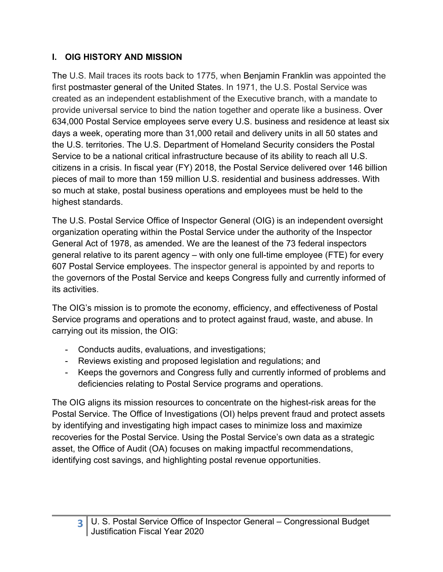### **I. OIG HISTORY AND MISSION**

The U.S. Mail traces its roots back to 1775, when Benjamin Franklin was appointed the first postmaster general of the United States. In 1971, the U.S. Postal Service was created as an independent establishment of the Executive branch, with a mandate to provide universal service to bind the nation together and operate like a business. Over 634,000 Postal Service employees serve every U.S. business and residence at least six days a week, operating more than 31,000 retail and delivery units in all 50 states and the U.S. territories. The U.S. Department of Homeland Security considers the Postal Service to be a national critical infrastructure because of its ability to reach all U.S. citizens in a crisis. In fiscal year (FY) 2018, the Postal Service delivered over 146 billion pieces of mail to more than 159 million U.S. residential and business addresses. With so much at stake, postal business operations and employees must be held to the highest standards.

The U.S. Postal Service Office of Inspector General (OIG) is an independent oversight organization operating within the Postal Service under the authority of the Inspector General Act of 1978, as amended. We are the leanest of the 73 federal inspectors general relative to its parent agency – with only one full-time employee (FTE) for every 607 Postal Service employees. The inspector general is appointed by and reports to the governors of the Postal Service and keeps Congress fully and currently informed of its activities.

The OIG's mission is to promote the economy, efficiency, and effectiveness of Postal Service programs and operations and to protect against fraud, waste, and abuse. In carrying out its mission, the OIG:

- Conducts audits, evaluations, and investigations;
- Reviews existing and proposed legislation and regulations; and
- Keeps the governors and Congress fully and currently informed of problems and deficiencies relating to Postal Service programs and operations.

The OIG aligns its mission resources to concentrate on the highest-risk areas for the Postal Service. The Office of Investigations (OI) helps prevent fraud and protect assets by identifying and investigating high impact cases to minimize loss and maximize recoveries for the Postal Service. Using the Postal Service's own data as a strategic asset, the Office of Audit (OA) focuses on making impactful recommendations, identifying cost savings, and highlighting postal revenue opportunities.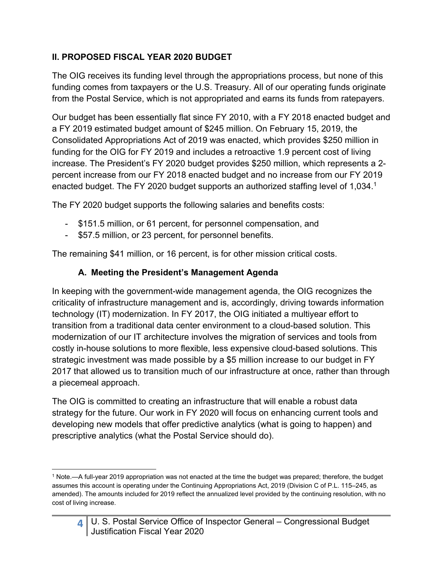#### **II. PROPOSED FISCAL YEAR 2020 BUDGET**

The OIG receives its funding level through the appropriations process, but none of this funding comes from taxpayers or the U.S. Treasury. All of our operating funds originate from the Postal Service, which is not appropriated and earns its funds from ratepayers.

Our budget has been essentially flat since FY 2010, with a FY 2018 enacted budget and a FY 2019 estimated budget amount of \$245 million. On February 15, 2019, the Consolidated Appropriations Act of 2019 was enacted, which provides \$250 million in funding for the OIG for FY 2019 and includes a retroactive 1.9 percent cost of living increase. The President's FY 2020 budget provides \$250 million, which represents a 2 percent increase from our FY 2018 enacted budget and no increase from our FY 2019 enacted budget. The FY 2020 budget supports an authorized staffing level of 1,034.<sup>1</sup>

The FY 2020 budget supports the following salaries and benefits costs:

- \$151.5 million, or 61 percent, for personnel compensation, and
- \$57.5 million, or 23 percent, for personnel benefits.

The remaining \$41 million, or 16 percent, is for other mission critical costs.

### **A. Meeting the President's Management Agenda**

In keeping with the government-wide management agenda, the OIG recognizes the criticality of infrastructure management and is, accordingly, driving towards information technology (IT) modernization. In FY 2017, the OIG initiated a multiyear effort to transition from a traditional data center environment to a cloud-based solution. This modernization of our IT architecture involves the migration of services and tools from costly in-house solutions to more flexible, less expensive cloud-based solutions. This strategic investment was made possible by a \$5 million increase to our budget in FY 2017 that allowed us to transition much of our infrastructure at once, rather than through a piecemeal approach.

The OIG is committed to creating an infrastructure that will enable a robust data strategy for the future. Our work in FY 2020 will focus on enhancing current tools and developing new models that offer predictive analytics (what is going to happen) and prescriptive analytics (what the Postal Service should do).

#### **4**  U. S. Postal Service Office of Inspector General – Congressional Budget Justification Fiscal Year 2020

 1 Note.—A full-year 2019 appropriation was not enacted at the time the budget was prepared; therefore, the budget assumes this account is operating under the Continuing Appropriations Act, 2019 (Division C of P.L. 115–245, as amended). The amounts included for 2019 reflect the annualized level provided by the continuing resolution, with no cost of living increase.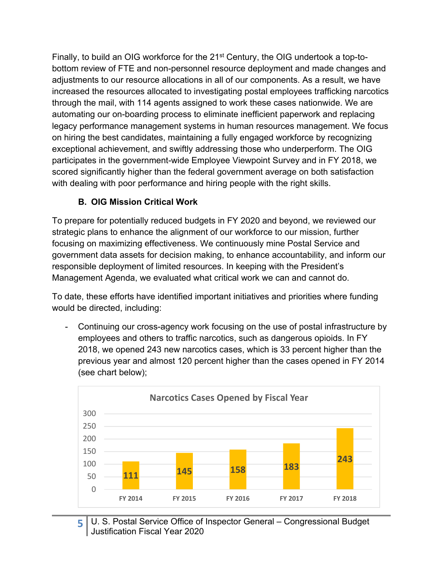Finally, to build an OIG workforce for the 21<sup>st</sup> Century, the OIG undertook a top-tobottom review of FTE and non-personnel resource deployment and made changes and adjustments to our resource allocations in all of our components. As a result, we have increased the resources allocated to investigating postal employees trafficking narcotics through the mail, with 114 agents assigned to work these cases nationwide. We are automating our on-boarding process to eliminate inefficient paperwork and replacing legacy performance management systems in human resources management. We focus on hiring the best candidates, maintaining a fully engaged workforce by recognizing exceptional achievement, and swiftly addressing those who underperform. The OIG participates in the government-wide Employee Viewpoint Survey and in FY 2018, we scored significantly higher than the federal government average on both satisfaction with dealing with poor performance and hiring people with the right skills.

#### **B. OIG Mission Critical Work**

To prepare for potentially reduced budgets in FY 2020 and beyond, we reviewed our strategic plans to enhance the alignment of our workforce to our mission, further focusing on maximizing effectiveness. We continuously mine Postal Service and government data assets for decision making, to enhance accountability, and inform our responsible deployment of limited resources. In keeping with the President's Management Agenda, we evaluated what critical work we can and cannot do.

To date, these efforts have identified important initiatives and priorities where funding would be directed, including:

Continuing our cross-agency work focusing on the use of postal infrastructure by employees and others to traffic narcotics, such as dangerous opioids. In FY 2018, we opened 243 new narcotics cases, which is 33 percent higher than the previous year and almost 120 percent higher than the cases opened in FY 2014 (see chart below);



5 U. S. Postal Service Office of Inspector General – Congressional Budget Justification Fiscal Year 2020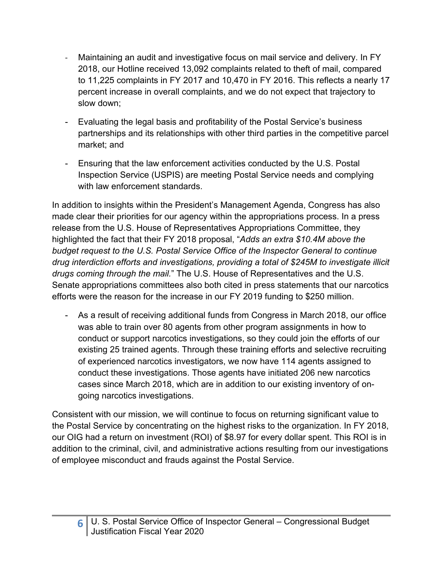- ‐ Maintaining an audit and investigative focus on mail service and delivery. In FY 2018, our Hotline received 13,092 complaints related to theft of mail, compared to 11,225 complaints in FY 2017 and 10,470 in FY 2016. This reflects a nearly 17 percent increase in overall complaints, and we do not expect that trajectory to slow down;
- Evaluating the legal basis and profitability of the Postal Service's business partnerships and its relationships with other third parties in the competitive parcel market; and
- Ensuring that the law enforcement activities conducted by the U.S. Postal Inspection Service (USPIS) are meeting Postal Service needs and complying with law enforcement standards.

In addition to insights within the President's Management Agenda, Congress has also made clear their priorities for our agency within the appropriations process. In a press release from the U.S. House of Representatives Appropriations Committee, they highlighted the fact that their FY 2018 proposal, "*Adds an extra \$10.4M above the budget request to the U.S. Postal Service Office of the Inspector General to continue drug interdiction efforts and investigations, providing a total of \$245M to investigate illicit drugs coming through the mail.*" The U.S. House of Representatives and the U.S. Senate appropriations committees also both cited in press statements that our narcotics efforts were the reason for the increase in our FY 2019 funding to \$250 million.

- As a result of receiving additional funds from Congress in March 2018, our office was able to train over 80 agents from other program assignments in how to conduct or support narcotics investigations, so they could join the efforts of our existing 25 trained agents. Through these training efforts and selective recruiting of experienced narcotics investigators, we now have 114 agents assigned to conduct these investigations. Those agents have initiated 206 new narcotics cases since March 2018, which are in addition to our existing inventory of ongoing narcotics investigations.

Consistent with our mission, we will continue to focus on returning significant value to the Postal Service by concentrating on the highest risks to the organization. In FY 2018, our OIG had a return on investment (ROI) of \$8.97 for every dollar spent. This ROI is in addition to the criminal, civil, and administrative actions resulting from our investigations of employee misconduct and frauds against the Postal Service.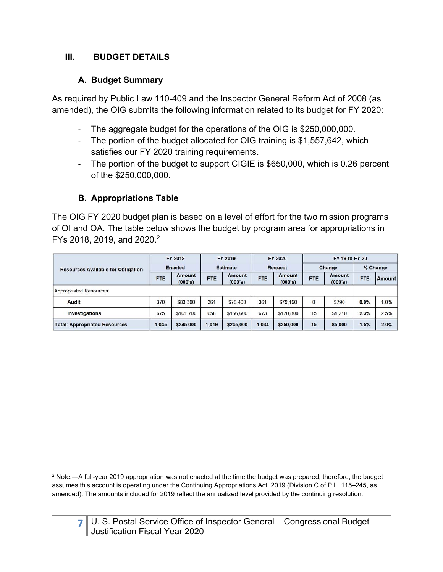#### **III. BUDGET DETAILS**

### **A. Budget Summary**

As required by Public Law 110-409 and the Inspector General Reform Act of 2008 (as amended), the OIG submits the following information related to its budget for FY 2020:

- ‐ The aggregate budget for the operations of the OIG is \$250,000,000.
- The portion of the budget allocated for OIG training is \$1,557,642, which satisfies our FY 2020 training requirements.
- ‐ The portion of the budget to support CIGIE is \$650,000, which is 0.26 percent of the \$250,000,000.

# **B. Appropriations Table**

The OIG FY 2020 budget plan is based on a level of effort for the two mission programs of OI and OA. The table below shows the budget by program area for appropriations in FYs 2018, 2019, and 2020.2

|                                           | FY 2018<br><b>Enacted</b> |                   | FY 2019<br><b>Estimate</b> |                   | FY 2020<br><b>Request</b> |                   | FY 19 to FY 20 |                   |            |        |
|-------------------------------------------|---------------------------|-------------------|----------------------------|-------------------|---------------------------|-------------------|----------------|-------------------|------------|--------|
| <b>Resources Available for Obligation</b> |                           |                   |                            |                   |                           |                   | Change         |                   | % Change   |        |
|                                           | <b>FTE</b>                | Amount<br>(000's) | <b>FTE</b>                 | Amount<br>(000's) | <b>FTE</b>                | Amount<br>(000's) | <b>FTE</b>     | Amount<br>(000's) | <b>FTE</b> | Amount |
| Appropriated Resources:                   |                           |                   |                            |                   |                           |                   |                |                   |            |        |
| Audit                                     | 370                       | \$83,300          | 361                        | \$78,400          | 361                       | \$79,190          | $\mathbf 0$    | \$790             | 0.0%       | 1.0%   |
| <b>Investigations</b>                     | 675                       | \$161,700         | 658                        | \$166,600         | 673                       | \$170,809         | 15             | \$4,210           | 2.3%       | 2.5%   |
| <b>Total: Appropriated Resources</b>      | 1,045                     | \$245,000         | 1,019                      | \$245,000         | 1,034                     | \$250,000         | 15             | \$5,000           | 1.5%       | 2.0%   |

  $2$  Note.—A full-year 2019 appropriation was not enacted at the time the budget was prepared; therefore, the budget assumes this account is operating under the Continuing Appropriations Act, 2019 (Division C of P.L. 115–245, as amended). The amounts included for 2019 reflect the annualized level provided by the continuing resolution.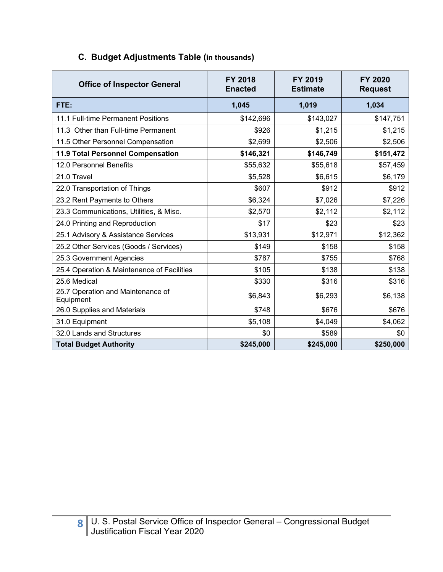| <b>Office of Inspector General</b>             | <b>FY 2018</b><br><b>Enacted</b> | FY 2019<br><b>Estimate</b> | FY 2020<br><b>Request</b> |  |
|------------------------------------------------|----------------------------------|----------------------------|---------------------------|--|
| FTE:                                           | 1,045                            | 1,019                      | 1,034                     |  |
| 11.1 Full-time Permanent Positions             | \$142,696                        | \$143,027                  | \$147,751                 |  |
| 11.3 Other than Full-time Permanent            | \$926                            | \$1,215                    | \$1,215                   |  |
| 11.5 Other Personnel Compensation              | \$2,699                          | \$2,506                    | \$2,506                   |  |
| 11.9 Total Personnel Compensation              | \$146,321                        | \$146,749                  | \$151,472                 |  |
| 12.0 Personnel Benefits                        | \$55,632                         | \$55,618                   | \$57,459                  |  |
| 21.0 Travel                                    | \$5,528                          | \$6,615                    | \$6,179                   |  |
| 22.0 Transportation of Things                  | \$607                            | \$912                      | \$912                     |  |
| 23.2 Rent Payments to Others                   | \$6,324                          | \$7,026                    | \$7,226                   |  |
| 23.3 Communications, Utilities, & Misc.        | \$2,570                          | \$2,112                    | \$2,112                   |  |
| 24.0 Printing and Reproduction                 | \$17                             | \$23                       | \$23                      |  |
| 25.1 Advisory & Assistance Services            | \$13,931                         | \$12,971                   | \$12,362                  |  |
| 25.2 Other Services (Goods / Services)         | \$149                            | \$158                      | \$158                     |  |
| 25.3 Government Agencies                       | \$787                            | \$755                      | \$768                     |  |
| 25.4 Operation & Maintenance of Facilities     | \$105                            | \$138                      | \$138                     |  |
| 25.6 Medical                                   | \$330                            | \$316                      | \$316                     |  |
| 25.7 Operation and Maintenance of<br>Equipment | \$6,843                          | \$6,293                    | \$6,138                   |  |
| 26.0 Supplies and Materials                    | \$748                            | \$676                      | \$676                     |  |
| 31.0 Equipment                                 | \$5,108                          | \$4,049                    | \$4,062                   |  |
| 32.0 Lands and Structures                      | \$0                              | \$589                      | \$0                       |  |
| <b>Total Budget Authority</b>                  | \$245,000                        | \$245,000                  | \$250,000                 |  |

#### **C. Budget Adjustments Table (in thousands)**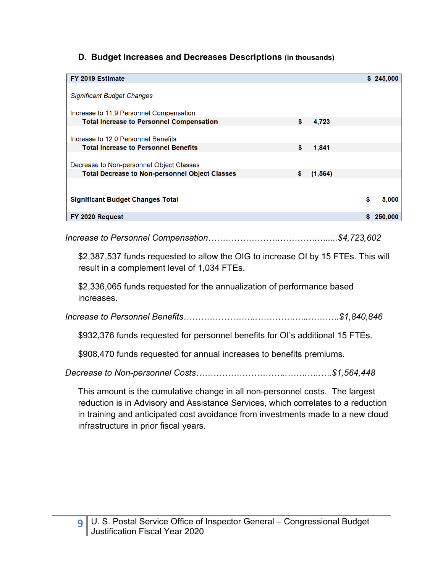#### **D. Budget Increases and Decreases Descriptions (in thousands)**

| FY 2019 Estimate                                      |                |    | \$245,000 |
|-------------------------------------------------------|----------------|----|-----------|
|                                                       |                |    |           |
| <b>Significant Budget Changes</b>                     |                |    |           |
| Increase to 11.9 Personnel Compensation               |                |    |           |
| <b>Total Increase to Personnel Compensation</b>       | \$<br>4,723    |    |           |
|                                                       |                |    |           |
| Increase to 12.0 Personnel Benefits                   |                |    |           |
| <b>Total Increase to Personnel Benefits</b>           | \$<br>1,841    |    |           |
|                                                       |                |    |           |
| Decrease to Non-personnel Object Classes              |                |    |           |
| <b>Total Decrease to Non-personnel Object Classes</b> | \$<br>(1, 564) |    |           |
|                                                       |                |    |           |
| <b>Significant Budget Changes Total</b>               |                | S  | 5,000     |
| FY 2020 Request                                       |                | S. | 250,000   |

*Increase to Personnel Compensation…………………….………….….....\$4,723,602* 

\$2,387,537 funds requested to allow the OIG to increase OI by 15 FTEs. This will result in a complement level of 1,034 FTEs.

\$2,336,065 funds requested for the annualization of performance based increases.

*Increase to Personnel Benefits……………………..………….…...……….\$1,840,846* 

\$932,376 funds requested for personnel benefits for OI's additional 15 FTEs.

\$908,470 funds requested for annual increases to benefits premiums.

*Decrease to Non-personnel Costs…………………………..…….…..….\$1,564,448* 

This amount is the cumulative change in all non-personnel costs. The largest reduction is in Advisory and Assistance Services, which correlates to a reduction in training and anticipated cost avoidance from investments made to a new cloud infrastructure in prior fiscal years.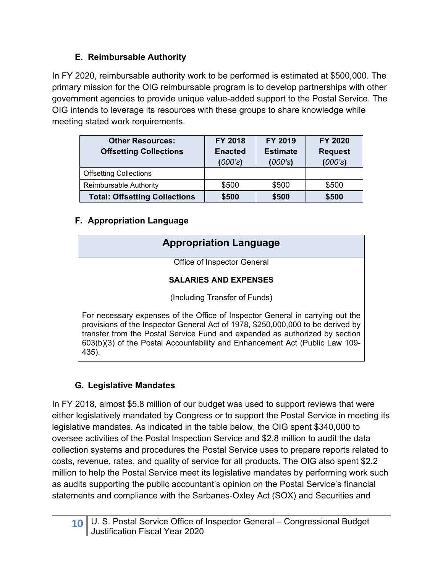#### **E. Reimbursable Authority**

In FY 2020, reimbursable authority work to be performed is estimated at \$500,000. The primary mission for the OIG reimbursable program is to develop partnerships with other government agencies to provide unique value-added support to the Postal Service. The OIG intends to leverage its resources with these groups to share knowledge while meeting stated work requirements.

| <b>Other Resources:</b><br><b>Offsetting Collections</b> | <b>FY 2018</b><br><b>Enacted</b><br>(000's) | FY 2019<br><b>Estimate</b><br>(000's) | FY 2020<br><b>Request</b><br>(000's) |  |
|----------------------------------------------------------|---------------------------------------------|---------------------------------------|--------------------------------------|--|
| <b>Offsetting Collections</b>                            |                                             |                                       |                                      |  |
| Reimbursable Authority                                   | \$500                                       | \$500                                 | \$500                                |  |
| <b>Total: Offsetting Collections</b>                     | \$500                                       | \$500                                 | \$500                                |  |

#### **F. Appropriation Language**

| <b>Appropriation Language</b>                                                                                                                                                                                                                                                                                                           |
|-----------------------------------------------------------------------------------------------------------------------------------------------------------------------------------------------------------------------------------------------------------------------------------------------------------------------------------------|
| Office of Inspector General                                                                                                                                                                                                                                                                                                             |
| <b>SALARIES AND EXPENSES</b>                                                                                                                                                                                                                                                                                                            |
| (Including Transfer of Funds)                                                                                                                                                                                                                                                                                                           |
| For necessary expenses of the Office of Inspector General in carrying out the<br>provisions of the Inspector General Act of 1978, \$250,000,000 to be derived by<br>transfer from the Postal Service Fund and expended as authorized by section<br>603(b)(3) of the Postal Accountability and Enhancement Act (Public Law 109-<br>435). |

# **G. Legislative Mandates**

In FY 2018, almost \$5.8 million of our budget was used to support reviews that were either legislatively mandated by Congress or to support the Postal Service in meeting its legislative mandates. As indicated in the table below, the OIG spent \$340,000 to oversee activities of the Postal Inspection Service and \$2.8 million to audit the data collection systems and procedures the Postal Service uses to prepare reports related to costs, revenue, rates, and quality of service for all products. The OIG also spent \$2.2 million to help the Postal Service meet its legislative mandates by performing work such as audits supporting the public accountant's opinion on the Postal Service's financial statements and compliance with the Sarbanes-Oxley Act (SOX) and Securities and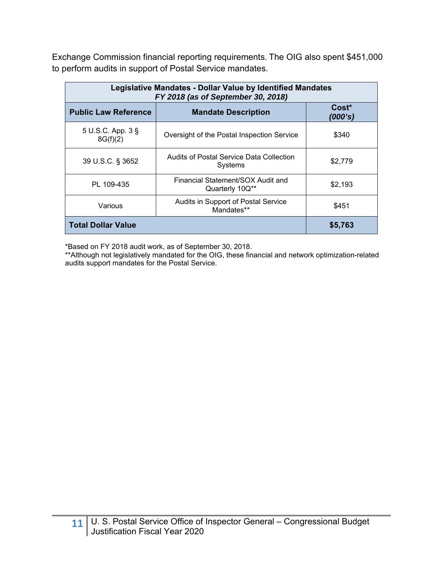Exchange Commission financial reporting requirements. The OIG also spent \$451,000 to perform audits in support of Postal Service mandates.

| Legislative Mandates - Dollar Value by Identified Mandates<br>FY 2018 (as of September 30, 2018) |                                                      |         |  |  |  |
|--------------------------------------------------------------------------------------------------|------------------------------------------------------|---------|--|--|--|
| <b>Public Law Reference</b>                                                                      | $Cost*$<br>(000's)                                   |         |  |  |  |
| 5 U.S.C. App. 3 §<br>8G(f)(2)                                                                    | Oversight of the Postal Inspection Service           | \$340   |  |  |  |
| 39 U.S.C. § 3652                                                                                 | Audits of Postal Service Data Collection<br>Systems  | \$2,779 |  |  |  |
| PL 109-435                                                                                       | Financial Statement/SOX Audit and<br>Quarterly 10Q** | \$2,193 |  |  |  |
| Various                                                                                          | Audits in Support of Postal Service<br>Mandates**    | \$451   |  |  |  |
| <b>Total Dollar Value</b>                                                                        | \$5,763                                              |         |  |  |  |

\*Based on FY 2018 audit work, as of September 30, 2018.

\*\*Although not legislatively mandated for the OIG, these financial and network optimization-related audits support mandates for the Postal Service.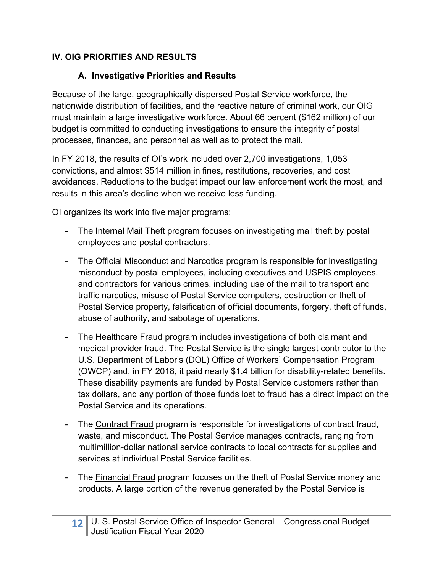#### **IV. OIG PRIORITIES AND RESULTS**

#### **A. Investigative Priorities and Results**

Because of the large, geographically dispersed Postal Service workforce, the nationwide distribution of facilities, and the reactive nature of criminal work, our OIG must maintain a large investigative workforce. About 66 percent (\$162 million) of our budget is committed to conducting investigations to ensure the integrity of postal processes, finances, and personnel as well as to protect the mail.

In FY 2018, the results of OI's work included over 2,700 investigations, 1,053 convictions, and almost \$514 million in fines, restitutions, recoveries, and cost avoidances. Reductions to the budget impact our law enforcement work the most, and results in this area's decline when we receive less funding.

OI organizes its work into five major programs:

- The Internal Mail Theft program focuses on investigating mail theft by postal employees and postal contractors.
- The Official Misconduct and Narcotics program is responsible for investigating misconduct by postal employees, including executives and USPIS employees, and contractors for various crimes, including use of the mail to transport and traffic narcotics, misuse of Postal Service computers, destruction or theft of Postal Service property, falsification of official documents, forgery, theft of funds, abuse of authority, and sabotage of operations.
- The Healthcare Fraud program includes investigations of both claimant and medical provider fraud. The Postal Service is the single largest contributor to the U.S. Department of Labor's (DOL) Office of Workers' Compensation Program (OWCP) and, in FY 2018, it paid nearly \$1.4 billion for disability-related benefits. These disability payments are funded by Postal Service customers rather than tax dollars, and any portion of those funds lost to fraud has a direct impact on the Postal Service and its operations.
- The Contract Fraud program is responsible for investigations of contract fraud, waste, and misconduct. The Postal Service manages contracts, ranging from multimillion-dollar national service contracts to local contracts for supplies and services at individual Postal Service facilities.
- The Financial Fraud program focuses on the theft of Postal Service money and products. A large portion of the revenue generated by the Postal Service is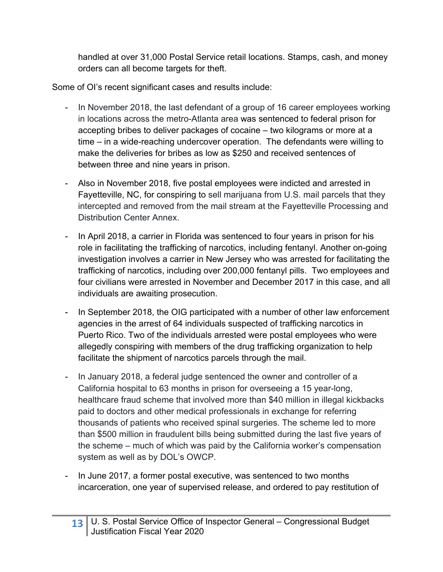handled at over 31,000 Postal Service retail locations. Stamps, cash, and money orders can all become targets for theft.

Some of OI's recent significant cases and results include:

- In November 2018, the last defendant of a group of 16 career employees working in locations across the metro-Atlanta area was sentenced to federal prison for accepting bribes to deliver packages of cocaine – two kilograms or more at a time – in a wide-reaching undercover operation. The defendants were willing to make the deliveries for bribes as low as \$250 and received sentences of between three and nine years in prison.
- Also in November 2018, five postal employees were indicted and arrested in Fayetteville, NC, for conspiring to sell marijuana from U.S. mail parcels that they intercepted and removed from the mail stream at the Fayetteville Processing and Distribution Center Annex.
- In April 2018, a carrier in Florida was sentenced to four years in prison for his role in facilitating the trafficking of narcotics, including fentanyl. Another on-going investigation involves a carrier in New Jersey who was arrested for facilitating the trafficking of narcotics, including over 200,000 fentanyl pills. Two employees and four civilians were arrested in November and December 2017 in this case, and all individuals are awaiting prosecution.
- In September 2018, the OIG participated with a number of other law enforcement agencies in the arrest of 64 individuals suspected of trafficking narcotics in Puerto Rico. Two of the individuals arrested were postal employees who were allegedly conspiring with members of the drug trafficking organization to help facilitate the shipment of narcotics parcels through the mail.
- In January 2018, a federal judge sentenced the owner and controller of a California hospital to 63 months in prison for overseeing a 15 year-long, healthcare fraud scheme that involved more than \$40 million in illegal kickbacks paid to doctors and other medical professionals in exchange for referring thousands of patients who received spinal surgeries. The scheme led to more than \$500 million in fraudulent bills being submitted during the last five years of the scheme – much of which was paid by the California worker's compensation system as well as by DOL's OWCP.
- In June 2017, a former postal executive, was sentenced to two months incarceration, one year of supervised release, and ordered to pay restitution of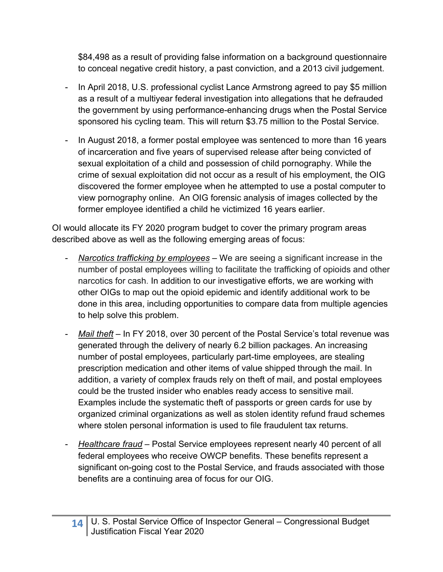\$84,498 as a result of providing false information on a background questionnaire to conceal negative credit history, a past conviction, and a 2013 civil judgement.

- In April 2018, U.S. professional cyclist Lance Armstrong agreed to pay \$5 million as a result of a multiyear federal investigation into allegations that he defrauded the government by using performance-enhancing drugs when the Postal Service sponsored his cycling team. This will return \$3.75 million to the Postal Service.
- In August 2018, a former postal employee was sentenced to more than 16 years of incarceration and five years of supervised release after being convicted of sexual exploitation of a child and possession of child pornography. While the crime of sexual exploitation did not occur as a result of his employment, the OIG discovered the former employee when he attempted to use a postal computer to view pornography online. An OIG forensic analysis of images collected by the former employee identified a child he victimized 16 years earlier.

OI would allocate its FY 2020 program budget to cover the primary program areas described above as well as the following emerging areas of focus:

- *Narcotics trafficking by employees* We are seeing a significant increase in the number of postal employees willing to facilitate the trafficking of opioids and other narcotics for cash. In addition to our investigative efforts, we are working with other OIGs to map out the opioid epidemic and identify additional work to be done in this area, including opportunities to compare data from multiple agencies to help solve this problem.
- *Mail theft*  In FY 2018, over 30 percent of the Postal Service's total revenue was generated through the delivery of nearly 6.2 billion packages. An increasing number of postal employees, particularly part-time employees, are stealing prescription medication and other items of value shipped through the mail. In addition, a variety of complex frauds rely on theft of mail, and postal employees could be the trusted insider who enables ready access to sensitive mail. Examples include the systematic theft of passports or green cards for use by organized criminal organizations as well as stolen identity refund fraud schemes where stolen personal information is used to file fraudulent tax returns.
- *Healthcare fraud* Postal Service employees represent nearly 40 percent of all federal employees who receive OWCP benefits. These benefits represent a significant on-going cost to the Postal Service, and frauds associated with those benefits are a continuing area of focus for our OIG.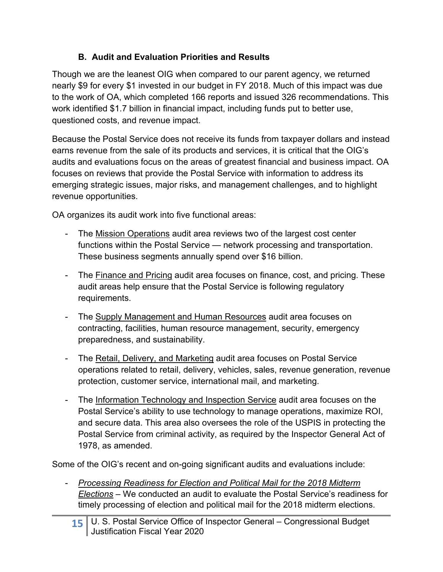#### **B. Audit and Evaluation Priorities and Results**

Though we are the leanest OIG when compared to our parent agency, we returned nearly \$9 for every \$1 invested in our budget in FY 2018. Much of this impact was due to the work of OA, which completed 166 reports and issued 326 recommendations. This work identified \$1.7 billion in financial impact, including funds put to better use, questioned costs, and revenue impact.

Because the Postal Service does not receive its funds from taxpayer dollars and instead earns revenue from the sale of its products and services, it is critical that the OIG's audits and evaluations focus on the areas of greatest financial and business impact. OA focuses on reviews that provide the Postal Service with information to address its emerging strategic issues, major risks, and management challenges, and to highlight revenue opportunities.

OA organizes its audit work into five functional areas:

- The Mission Operations audit area reviews two of the largest cost center functions within the Postal Service — network processing and transportation. These business segments annually spend over \$16 billion.
- The Finance and Pricing audit area focuses on finance, cost, and pricing. These audit areas help ensure that the Postal Service is following regulatory requirements.
- The Supply Management and Human Resources audit area focuses on contracting, facilities, human resource management, security, emergency preparedness, and sustainability.
- The Retail, Delivery, and Marketing audit area focuses on Postal Service operations related to retail, delivery, vehicles, sales, revenue generation, revenue protection, customer service, international mail, and marketing.
- The Information Technology and Inspection Service audit area focuses on the Postal Service's ability to use technology to manage operations, maximize ROI, and secure data. This area also oversees the role of the USPIS in protecting the Postal Service from criminal activity, as required by the Inspector General Act of 1978, as amended.

Some of the OIG's recent and on-going significant audits and evaluations include:

- *Processing Readiness for Election and Political Mail for the 2018 Midterm Elections* – We conducted an audit to evaluate the Postal Service's readiness for timely processing of election and political mail for the 2018 midterm elections.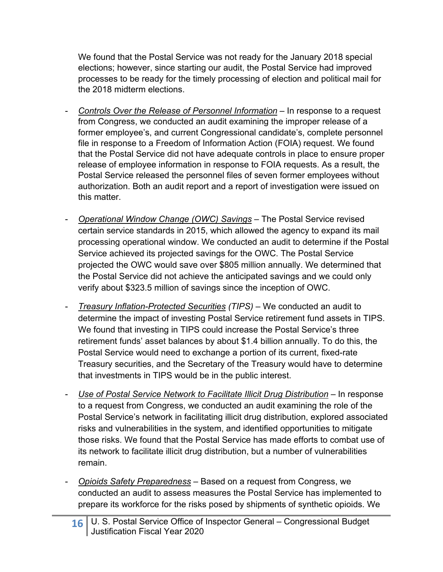We found that the Postal Service was not ready for the January 2018 special elections; however, since starting our audit, the Postal Service had improved processes to be ready for the timely processing of election and political mail for the 2018 midterm elections.

- *Controls Over the Release of Personnel Information* In response to a request from Congress, we conducted an audit examining the improper release of a former employee's, and current Congressional candidate's, complete personnel file in response to a Freedom of Information Action (FOIA) request. We found that the Postal Service did not have adequate controls in place to ensure proper release of employee information in response to FOIA requests. As a result, the Postal Service released the personnel files of seven former employees without authorization. Both an audit report and a report of investigation were issued on this matter.
- *Operational Window Change (OWC) Savings* The Postal Service revised certain service standards in 2015, which allowed the agency to expand its mail processing operational window. We conducted an audit to determine if the Postal Service achieved its projected savings for the OWC. The Postal Service projected the OWC would save over \$805 million annually. We determined that the Postal Service did not achieve the anticipated savings and we could only verify about \$323.5 million of savings since the inception of OWC.
- *Treasury Inflation-Protected Securities (TIPS)*  We conducted an audit to determine the impact of investing Postal Service retirement fund assets in TIPS. We found that investing in TIPS could increase the Postal Service's three retirement funds' asset balances by about \$1.4 billion annually. To do this, the Postal Service would need to exchange a portion of its current, fixed-rate Treasury securities, and the Secretary of the Treasury would have to determine that investments in TIPS would be in the public interest.
- *Use of Postal Service Network to Facilitate Illicit Drug Distribution* In response to a request from Congress, we conducted an audit examining the role of the Postal Service's network in facilitating illicit drug distribution, explored associated risks and vulnerabilities in the system, and identified opportunities to mitigate those risks. We found that the Postal Service has made efforts to combat use of its network to facilitate illicit drug distribution, but a number of vulnerabilities remain.
- *Opioids Safety Preparedness* Based on a request from Congress, we conducted an audit to assess measures the Postal Service has implemented to prepare its workforce for the risks posed by shipments of synthetic opioids. We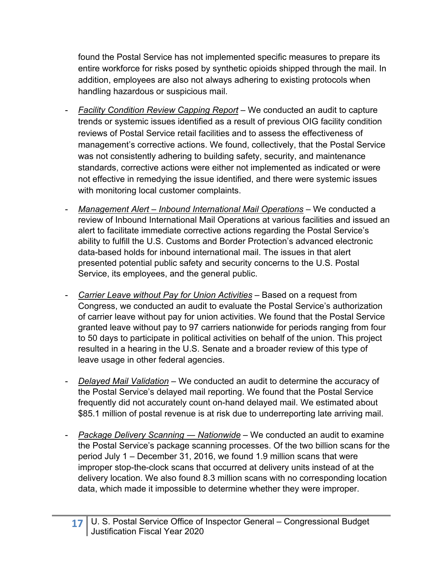found the Postal Service has not implemented specific measures to prepare its entire workforce for risks posed by synthetic opioids shipped through the mail. In addition, employees are also not always adhering to existing protocols when handling hazardous or suspicious mail.

- *Facility Condition Review Capping Report*  We conducted an audit to capture trends or systemic issues identified as a result of previous OIG facility condition reviews of Postal Service retail facilities and to assess the effectiveness of management's corrective actions. We found, collectively, that the Postal Service was not consistently adhering to building safety, security, and maintenance standards, corrective actions were either not implemented as indicated or were not effective in remedying the issue identified, and there were systemic issues with monitoring local customer complaints.
- *Management Alert Inbound International Mail Operations*  We conducted a review of Inbound International Mail Operations at various facilities and issued an alert to facilitate immediate corrective actions regarding the Postal Service's ability to fulfill the U.S. Customs and Border Protection's advanced electronic data-based holds for inbound international mail. The issues in that alert presented potential public safety and security concerns to the U.S. Postal Service, its employees, and the general public.
- *Carrier Leave without Pay for Union Activities* Based on a request from Congress, we conducted an audit to evaluate the Postal Service's authorization of carrier leave without pay for union activities. We found that the Postal Service granted leave without pay to 97 carriers nationwide for periods ranging from four to 50 days to participate in political activities on behalf of the union. This project resulted in a hearing in the U.S. Senate and a broader review of this type of leave usage in other federal agencies.
- *Delayed Mail Validation* We conducted an audit to determine the accuracy of the Postal Service's delayed mail reporting. We found that the Postal Service frequently did not accurately count on-hand delayed mail. We estimated about \$85.1 million of postal revenue is at risk due to underreporting late arriving mail.
- *Package Delivery Scanning ― Nationwide* We conducted an audit to examine the Postal Service's package scanning processes. Of the two billion scans for the period July 1 – December 31, 2016, we found 1.9 million scans that were improper stop-the-clock scans that occurred at delivery units instead of at the delivery location. We also found 8.3 million scans with no corresponding location data, which made it impossible to determine whether they were improper.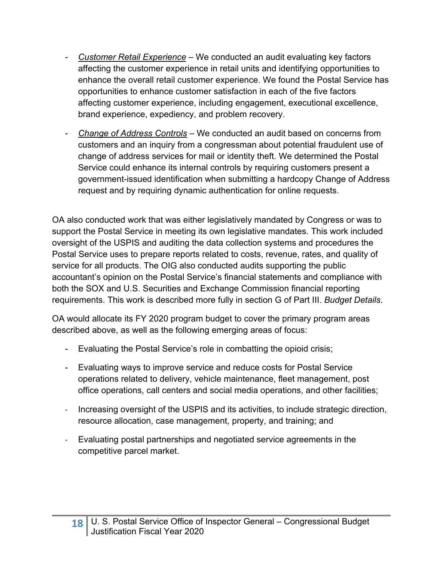- *Customer Retail Experience* We conducted an audit evaluating key factors affecting the customer experience in retail units and identifying opportunities to enhance the overall retail customer experience. We found the Postal Service has opportunities to enhance customer satisfaction in each of the five factors affecting customer experience, including engagement, executional excellence, brand experience, expediency, and problem recovery.
- *Change of Address Controls* We conducted an audit based on concerns from customers and an inquiry from a congressman about potential fraudulent use of change of address services for mail or identity theft. We determined the Postal Service could enhance its internal controls by requiring customers present a government-issued identification when submitting a hardcopy Change of Address request and by requiring dynamic authentication for online requests.

OA also conducted work that was either legislatively mandated by Congress or was to support the Postal Service in meeting its own legislative mandates. This work included oversight of the USPIS and auditing the data collection systems and procedures the Postal Service uses to prepare reports related to costs, revenue, rates, and quality of service for all products. The OIG also conducted audits supporting the public accountant's opinion on the Postal Service's financial statements and compliance with both the SOX and U.S. Securities and Exchange Commission financial reporting requirements. This work is described more fully in section G of Part III. *Budget Details*.

OA would allocate its FY 2020 program budget to cover the primary program areas described above, as well as the following emerging areas of focus:

- Evaluating the Postal Service's role in combatting the opioid crisis;
- Evaluating ways to improve service and reduce costs for Postal Service operations related to delivery, vehicle maintenance, fleet management, post office operations, call centers and social media operations, and other facilities;
- ‐ Increasing oversight of the USPIS and its activities, to include strategic direction, resource allocation, case management, property, and training; and
- ‐ Evaluating postal partnerships and negotiated service agreements in the competitive parcel market.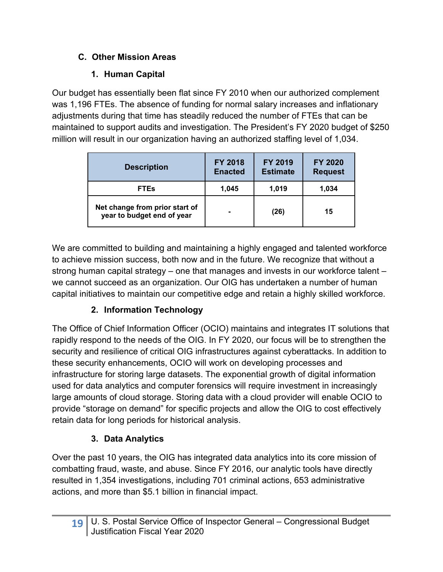# **C. Other Mission Areas**

# **1. Human Capital**

Our budget has essentially been flat since FY 2010 when our authorized complement was 1,196 FTEs. The absence of funding for normal salary increases and inflationary adjustments during that time has steadily reduced the number of FTEs that can be maintained to support audits and investigation. The President's FY 2020 budget of \$250 million will result in our organization having an authorized staffing level of 1,034.

| <b>Description</b>                                           | <b>FY 2018</b><br><b>Enacted</b> | <b>FY 2019</b><br><b>Estimate</b> | FY 2020<br><b>Request</b> |  |
|--------------------------------------------------------------|----------------------------------|-----------------------------------|---------------------------|--|
| <b>FTEs</b>                                                  | 1.045                            | 1,019                             | 1,034                     |  |
| Net change from prior start of<br>year to budget end of year | $\blacksquare$                   | (26)                              | 15                        |  |

We are committed to building and maintaining a highly engaged and talented workforce to achieve mission success, both now and in the future. We recognize that without a strong human capital strategy – one that manages and invests in our workforce talent – we cannot succeed as an organization. Our OIG has undertaken a number of human capital initiatives to maintain our competitive edge and retain a highly skilled workforce.

# **2. Information Technology**

The Office of Chief Information Officer (OCIO) maintains and integrates IT solutions that rapidly respond to the needs of the OIG. In FY 2020, our focus will be to strengthen the security and resilience of critical OIG infrastructures against cyberattacks. In addition to these security enhancements, OCIO will work on developing processes and infrastructure for storing large datasets. The exponential growth of digital information used for data analytics and computer forensics will require investment in increasingly large amounts of cloud storage. Storing data with a cloud provider will enable OCIO to provide "storage on demand" for specific projects and allow the OIG to cost effectively retain data for long periods for historical analysis.

# **3. Data Analytics**

Over the past 10 years, the OIG has integrated data analytics into its core mission of combatting fraud, waste, and abuse. Since FY 2016, our analytic tools have directly resulted in 1,354 investigations, including 701 criminal actions, 653 administrative actions, and more than \$5.1 billion in financial impact.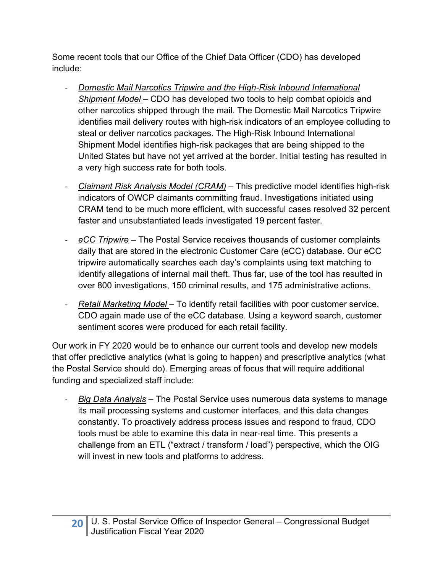Some recent tools that our Office of the Chief Data Officer (CDO) has developed include:

- ‐ *Domestic Mail Narcotics Tripwire and the High-Risk Inbound International Shipment Model* – CDO has developed two tools to help combat opioids and other narcotics shipped through the mail. The Domestic Mail Narcotics Tripwire identifies mail delivery routes with high-risk indicators of an employee colluding to steal or deliver narcotics packages. The High-Risk Inbound International Shipment Model identifies high-risk packages that are being shipped to the United States but have not yet arrived at the border. Initial testing has resulted in a very high success rate for both tools.
- ‐ *Claimant Risk Analysis Model (CRAM)* This predictive model identifies high-risk indicators of OWCP claimants committing fraud. Investigations initiated using CRAM tend to be much more efficient, with successful cases resolved 32 percent faster and unsubstantiated leads investigated 19 percent faster.
- ‐ *eCC Tripwire* The Postal Service receives thousands of customer complaints daily that are stored in the electronic Customer Care (eCC) database. Our eCC tripwire automatically searches each day's complaints using text matching to identify allegations of internal mail theft. Thus far, use of the tool has resulted in over 800 investigations, 150 criminal results, and 175 administrative actions.
- ‐ *Retail Marketing Model*  To identify retail facilities with poor customer service, CDO again made use of the eCC database. Using a keyword search, customer sentiment scores were produced for each retail facility.

Our work in FY 2020 would be to enhance our current tools and develop new models that offer predictive analytics (what is going to happen) and prescriptive analytics (what the Postal Service should do). Emerging areas of focus that will require additional funding and specialized staff include:

‐ *Big Data Analysis* – The Postal Service uses numerous data systems to manage its mail processing systems and customer interfaces, and this data changes constantly. To proactively address process issues and respond to fraud, CDO tools must be able to examine this data in near-real time. This presents a challenge from an ETL ("extract / transform / load") perspective, which the OIG will invest in new tools and platforms to address.